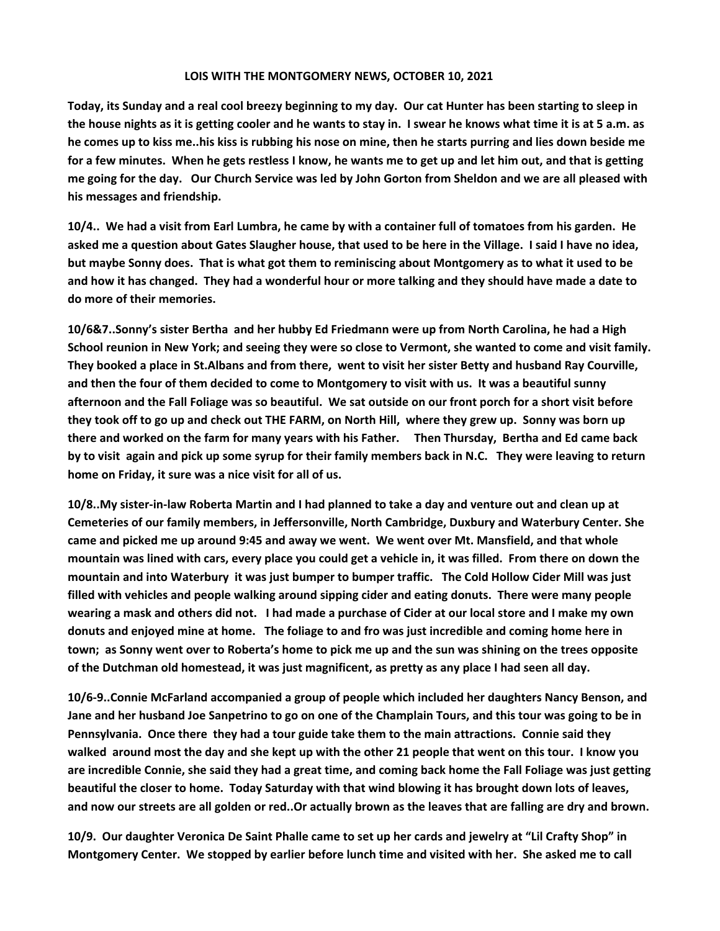## **LOIS WITH THE MONTGOMERY NEWS, OCTOBER 10, 2021**

**Today, its Sunday and a real cool breezy beginning to my day. Our cat Hunter has been starting to sleep in the house nights as it is getting cooler and he wants to stay in. I swear he knows what time it is at 5 a.m. as he comes up to kiss me..his kiss is rubbing his nose on mine, then he starts purring and lies down beside me for a few minutes. When he gets restless I know, he wants me to get up and let him out, and that is getting me going for the day. Our Church Service was led by John Gorton from Sheldon and we are all pleased with his messages and friendship.** 

**10/4.. We had a visit from Earl Lumbra, he came by with a container full of tomatoes from his garden. He asked me a question about Gates Slaugher house, that used to be here in the Village. I said I have no idea, but maybe Sonny does. That is what got them to reminiscing about Montgomery as to what it used to be and how it has changed. They had a wonderful hour or more talking and they should have made a date to do more of their memories.** 

**10/6&7..Sonny's sister Bertha and her hubby Ed Friedmann were up from North Carolina, he had a High School reunion in New York; and seeing they were so close to Vermont, she wanted to come and visit family. They booked a place in St.Albans and from there, went to visit her sister Betty and husband Ray Courville, and then the four of them decided to come to Montgomery to visit with us. It was a beautiful sunny afternoon and the Fall Foliage was so beautiful. We sat outside on our front porch for a short visit before they took off to go up and check out THE FARM, on North Hill, where they grew up. Sonny was born up there and worked on the farm for many years with his Father. Then Thursday, Bertha and Ed came back by to visit again and pick up some syrup for their family members back in N.C. They were leaving to return home on Friday, it sure was a nice visit for all of us.**

**10/8..My sister-in-law Roberta Martin and I had planned to take a day and venture out and clean up at Cemeteries of our family members, in Jeffersonville, North Cambridge, Duxbury and Waterbury Center. She came and picked me up around 9:45 and away we went. We went over Mt. Mansfield, and that whole mountain was lined with cars, every place you could get a vehicle in, it was filled. From there on down the mountain and into Waterbury it was just bumper to bumper traffic. The Cold Hollow Cider Mill was just filled with vehicles and people walking around sipping cider and eating donuts. There were many people wearing a mask and others did not. I had made a purchase of Cider at our local store and I make my own donuts and enjoyed mine at home. The foliage to and fro was just incredible and coming home here in town; as Sonny went over to Roberta's home to pick me up and the sun was shining on the trees opposite of the Dutchman old homestead, it was just magnificent, as pretty as any place I had seen all day.**

**10/6-9..Connie McFarland accompanied a group of people which included her daughters Nancy Benson, and Jane and her husband Joe Sanpetrino to go on one of the Champlain Tours, and this tour was going to be in Pennsylvania. Once there they had a tour guide take them to the main attractions. Connie said they walked around most the day and she kept up with the other 21 people that went on this tour. I know you are incredible Connie, she said they had a great time, and coming back home the Fall Foliage was just getting beautiful the closer to home. Today Saturday with that wind blowing it has brought down lots of leaves, and now our streets are all golden or red..Or actually brown as the leaves that are falling are dry and brown.**

**10/9. Our daughter Veronica De Saint Phalle came to set up her cards and jewelry at "Lil Crafty Shop" in Montgomery Center. We stopped by earlier before lunch time and visited with her. She asked me to call**